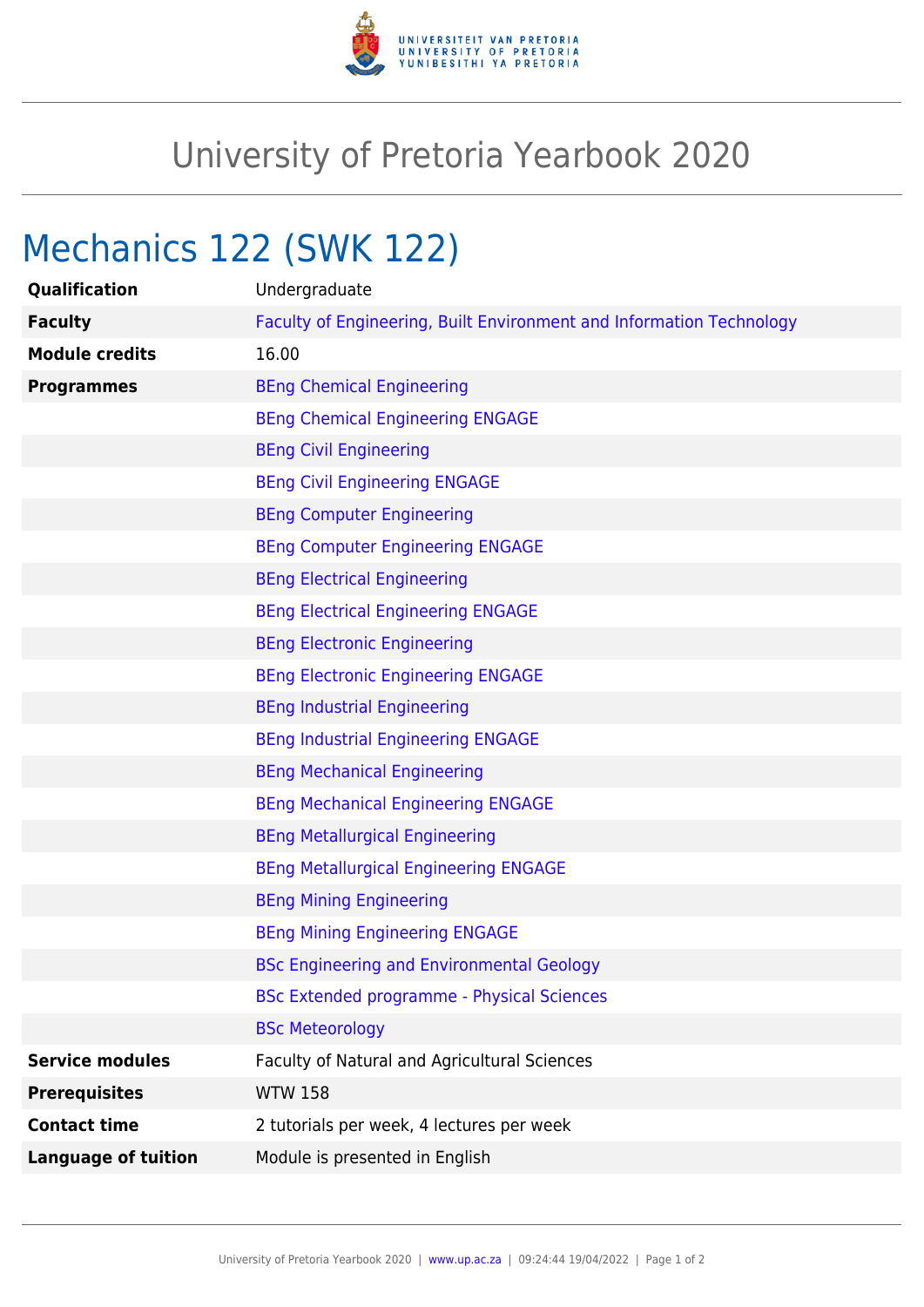

## University of Pretoria Yearbook 2020

# Mechanics 122 (SWK 122)

| Qualification<br>Undergraduate                                         |                                                                      |
|------------------------------------------------------------------------|----------------------------------------------------------------------|
| <b>Faculty</b>                                                         | Faculty of Engineering, Built Environment and Information Technology |
| 16.00<br><b>Module credits</b>                                         |                                                                      |
| <b>BEng Chemical Engineering</b><br><b>Programmes</b>                  |                                                                      |
| <b>BEng Chemical Engineering ENGAGE</b>                                |                                                                      |
| <b>BEng Civil Engineering</b>                                          |                                                                      |
| <b>BEng Civil Engineering ENGAGE</b>                                   |                                                                      |
| <b>BEng Computer Engineering</b>                                       |                                                                      |
| <b>BEng Computer Engineering ENGAGE</b>                                |                                                                      |
| <b>BEng Electrical Engineering</b>                                     |                                                                      |
| <b>BEng Electrical Engineering ENGAGE</b>                              |                                                                      |
| <b>BEng Electronic Engineering</b>                                     |                                                                      |
| <b>BEng Electronic Engineering ENGAGE</b>                              |                                                                      |
| <b>BEng Industrial Engineering</b>                                     |                                                                      |
| <b>BEng Industrial Engineering ENGAGE</b>                              |                                                                      |
| <b>BEng Mechanical Engineering</b>                                     |                                                                      |
| <b>BEng Mechanical Engineering ENGAGE</b>                              |                                                                      |
| <b>BEng Metallurgical Engineering</b>                                  |                                                                      |
| <b>BEng Metallurgical Engineering ENGAGE</b>                           |                                                                      |
| <b>BEng Mining Engineering</b>                                         |                                                                      |
| <b>BEng Mining Engineering ENGAGE</b>                                  |                                                                      |
| <b>BSc Engineering and Environmental Geology</b>                       |                                                                      |
| <b>BSc Extended programme - Physical Sciences</b>                      |                                                                      |
| <b>BSc Meteorology</b>                                                 |                                                                      |
| <b>Service modules</b><br>Faculty of Natural and Agricultural Sciences |                                                                      |
| <b>WTW 158</b><br><b>Prerequisites</b>                                 |                                                                      |
|                                                                        |                                                                      |
| <b>Contact time</b><br>2 tutorials per week, 4 lectures per week       |                                                                      |